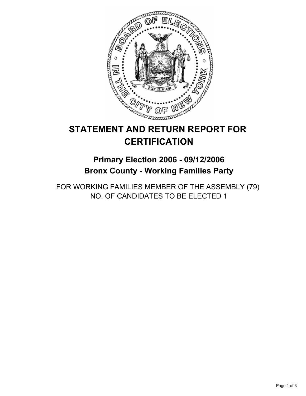

# **STATEMENT AND RETURN REPORT FOR CERTIFICATION**

## **Primary Election 2006 - 09/12/2006 Bronx County - Working Families Party**

FOR WORKING FAMILIES MEMBER OF THE ASSEMBLY (79) NO. OF CANDIDATES TO BE ELECTED 1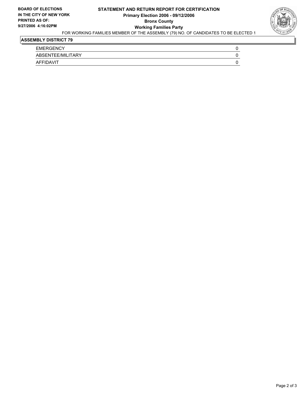

## **ASSEMBLY DISTRICT 79**

| <b>EMERGENCY</b>         |  |
|--------------------------|--|
| <b>ABSENTEE/MILITARY</b> |  |
| <b>AFFIDAVIT</b>         |  |